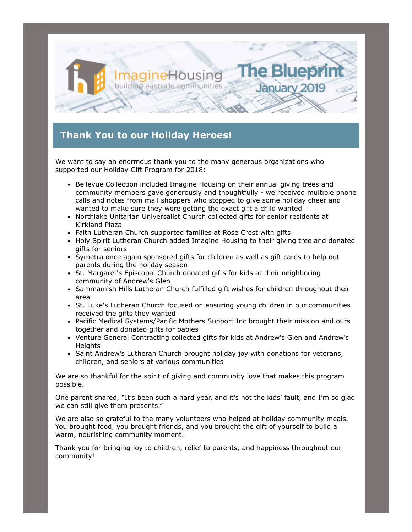

## **Thank You to our Holiday Heroes!**

We want to say an enormous thank you to the many generous organizations who supported our Holiday Gift Program for 2018:

- Bellevue Collection included Imagine Housing on their annual giving trees and community members gave generously and thoughtfully - we received multiple phone calls and notes from mall shoppers who stopped to give some holiday cheer and wanted to make sure they were getting the exact gift a child wanted
- Northlake Unitarian Universalist Church collected gifts for senior residents at Kirkland Plaza
- Faith Lutheran Church supported families at Rose Crest with gifts
- Holy Spirit Lutheran Church added Imagine Housing to their giving tree and donated gifts for seniors
- Symetra once again sponsored gifts for children as well as gift cards to help out parents during the holiday season
- St. Margaret's Episcopal Church donated gifts for kids at their neighboring community of Andrew's Glen
- Sammamish Hills Lutheran Church fulfilled gift wishes for children throughout their area
- St. Luke's Lutheran Church focused on ensuring young children in our communities received the gifts they wanted
- Pacific Medical Systems/Pacific Mothers Support Inc brought their mission and ours together and donated gifts for babies
- Venture General Contracting collected gifts for kids at Andrew's Glen and Andrew's **Heights**
- Saint Andrew's Lutheran Church brought holiday joy with donations for veterans, children, and seniors at various communities

We are so thankful for the spirit of giving and community love that makes this program possible.

One parent shared, "It's been such a hard year, and it's not the kids' fault, and I'm so glad we can still give them presents."

We are also so grateful to the many volunteers who helped at holiday community meals. You brought food, you brought friends, and you brought the gift of yourself to build a warm, nourishing community moment.

Thank you for bringing joy to children, relief to parents, and happiness throughout our community!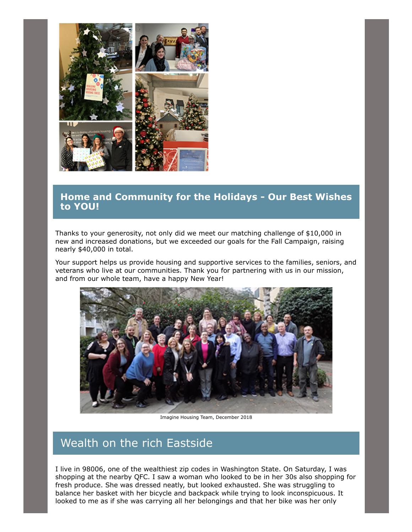

### **Home and Community for the Holidays - Our Best Wishes to YOU!**

Thanks to your generosity, not only did we meet our matching challenge of \$10,000 in new and increased donations, but we exceeded our goals for the Fall Campaign, raising nearly \$40,000 in total.

Your support helps us provide housing and supportive services to the families, seniors, and veterans who live at our communities. Thank you for partnering with us in our mission, and from our whole team, have a happy New Year!



Imagine Housing Team, December 2018

# Wealth on the rich Eastside

I live in 98006, one of the wealthiest zip codes in Washington State. On Saturday, I was shopping at the nearby QFC. I saw a woman who looked to be in her 30s also shopping for fresh produce. She was dressed neatly, but looked exhausted. She was struggling to balance her basket with her bicycle and backpack while trying to look inconspicuous. It looked to me as if she was carrying all her belongings and that her bike was her only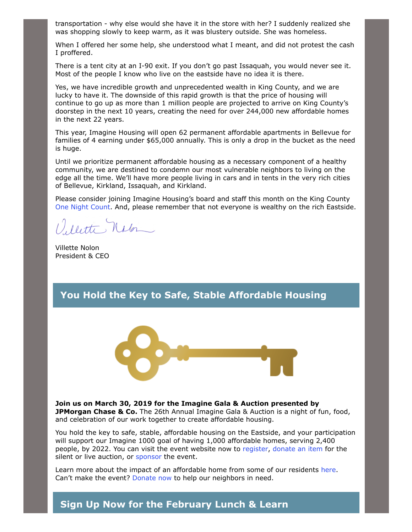transportation - why else would she have it in the store with her? I suddenly realized she was shopping slowly to keep warm, as it was blustery outside. She was homeless.

When I offered her some help, she understood what I meant, and did not protest the cash I proffered.

There is a tent city at an I-90 exit. If you don't go past Issaquah, you would never see it. Most of the people I know who live on the eastside have no idea it is there.

Yes, we have incredible growth and unprecedented wealth in King County, and we are lucky to have it. The downside of this rapid growth is that the price of housing will continue to go up as more than 1 million people are projected to arrive on King County's doorstep in the next 10 years, creating the need for over 244,000 new affordable homes in the next 22 years.

This year, Imagine Housing will open 62 permanent affordable apartments in Bellevue for families of 4 earning under \$65,000 annually. This is only a drop in the bucket as the need is huge.

Until we prioritize permanent affordable housing as a necessary component of a healthy community, we are destined to condemn our most vulnerable neighbors to living on the edge all the time. We'll have more people living in cars and in tents in the very rich cities of Bellevue, Kirkland, Issaquah, and Kirkland.

Please consider joining Imagine Housing's board and staff this month on the King County [One Night Count.](http://allhomekc.org/king-county-point-in-time-pit-count/) And, please remember that not everyone is wealthy on the rich Eastside.

1) Notte, Nalon

Villette Nolon President & CEO

### **You Hold the Key to Safe, Stable Affordable Housing**



**Join us on March 30, 2019 for the Imagine Gala & Auction presented by JPMorgan Chase & Co.** The 26th Annual Imagine Gala & Auction is a night of fun, food, and celebration of our work together to create affordable housing.

You hold the key to safe, stable, affordable housing on the Eastside, and your participation will support our Imagine 1000 goal of having 1,000 affordable homes, serving 2,400 people, by 2022. You can visit the event website now to [register,](https://one.bidpal.net/imaginehousing/ticketing(details:ticketing-summary)) [donate an item](https://one.bidpal.net/imaginehousing/donate-item) for the silent or live auction, or [sponsor t](https://one.bidpal.net/imaginehousing/ticketing(details:ticketing-summary))he event.

Learn more about the impact of an affordable home from some of our residents [here](https://www.youtube.com/watch?v=KVlgjr5XWDY&t=1s). Can't make the event? [Donate now](https://crm.bloomerang.co/HostedDonation?ApiKey=pub_f3660dd5-2c4f-11e7-bb7f-024e165d44b3&WidgetId=168960) to help our neighbors in need.

#### **Sign Up Now for the February Lunch & Learn**